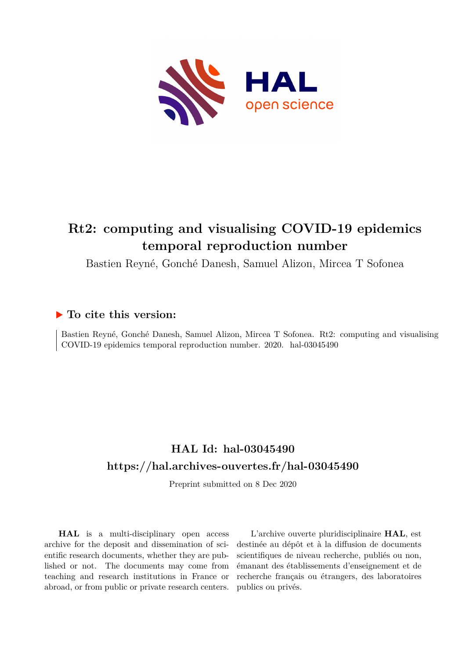<span id="page-0-0"></span>

# **Rt2: computing and visualising COVID-19 epidemics temporal reproduction number**

Bastien Reyné, Gonché Danesh, Samuel Alizon, Mircea T Sofonea

# **To cite this version:**

Bastien Reyné, Gonché Danesh, Samuel Alizon, Mircea T Sofonea. Rt2: computing and visualising  $COVID-19$  epidemics temporal reproduction number. 2020. hal-03045490

# **HAL Id: hal-03045490 <https://hal.archives-ouvertes.fr/hal-03045490>**

Preprint submitted on 8 Dec 2020

**HAL** is a multi-disciplinary open access archive for the deposit and dissemination of scientific research documents, whether they are published or not. The documents may come from teaching and research institutions in France or abroad, or from public or private research centers.

L'archive ouverte pluridisciplinaire **HAL**, est destinée au dépôt et à la diffusion de documents scientifiques de niveau recherche, publiés ou non, émanant des établissements d'enseignement et de recherche français ou étrangers, des laboratoires publics ou privés.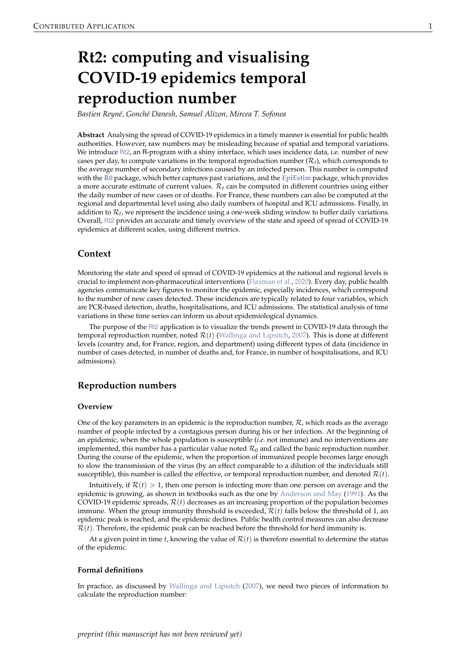# **Rt2: computing and visualising COVID-19 epidemics temporal reproduction number**

*Bastien Reyné, Gonché Danesh, Samuel Alizon, Mircea T. Sofonea*

**Abstract** Analysing the spread of COVID-19 epidemics in a timely manner is essential for public health authorities. However, raw numbers may be misleading because of spatial and temporal variations. We introduce [Rt2](https://bioinfo-shiny.ird.fr/Rt2-en/), an R-program with a shiny interface, which uses incidence data, i.e. number of new cases per day, to compute variations in the temporal reproduction number  $(\mathcal{R}_t)$ , which corresponds to the average number of secondary infections caused by an infected person. This number is computed with the **[R0](https://CRAN.R-project.org/package=R0)** package, which better captures past variations, and the **[EpiEstim](https://CRAN.R-project.org/package=EpiEstim)** package, which provides a more accurate estimate of current values. R*<sup>t</sup>* can be computed in different countries using either the daily number of new cases or of deaths. For France, these numbers can also be computed at the regional and departmental level using also daily numbers of hospital and ICU admissions. Finally, in addition to  $\mathcal{R}_t$ , we represent the incidence using a one-week sliding window to buffer daily variations. Overall, [Rt2](https://bioinfo-shiny.ird.fr/Rt2-en/) provides an accurate and timely overview of the state and speed of spread of COVID-19 epidemics at different scales, using different metrics.

# **Context**

Monitoring the state and speed of spread of COVID-19 epidemics at the national and regional levels is crucial to implement non-pharmaceutical interventions (Flaxman et al., 2020). Every day, public health agencies communicate key figures to monitor the epidemic, especially incidences, which correspond to the number of new cases detected. These incidences are typically related to four variables, which are PCR-based detection, deaths, hospitalisations, and ICU admissions. The statistical analysis of time variations in these time series can inform us about epidemiological dynamics.

The purpose of the [Rt2](https://bioinfo-shiny.ird.fr/Rt2-en/) application is to visualize the trends present in COVID-19 data through the temporal reproduction number, noted  $\mathcal{R}(t)$  (Wallinga and Lipsitch, 2007). This is done at different levels (country and, for France, region, and department) using different types of data (incidence in number of cases detected, in number of deaths and, for France, in number of hospitalisations, and ICU admissions).

## **Reproduction numbers**

#### **Overview**

One of the key parameters in an epidemic is the reproduction number,  $\mathcal{R}$ , which reads as the average number of people infected by a contagious person during his or her infection. At the beginning of an epidemic, when the whole population is susceptible (*i.e.* not immune) and no interventions are implemented, this number has a particular value noted  $\mathcal{R}_0$  and called the basic reproduction number. During the course of the epidemic, when the proportion of immunized people becomes large enough to slow the transmission of the virus (by an effect comparable to a dilution of the individuals still susceptible), this number is called the effective, or temporal reproduction number, and denoted  $\mathcal{R}(t)$ .

Intuitively, if  $\mathcal{R}(t) > 1$ , then one person is infecting more than one person on average and the epidemic is growing, as shown in textbooks such as the one by Anderson and May (1991). As the COVID-19 epidemic spreads,  $\mathcal{R}(t)$  decreases as an increasing proportion of the population becomes immune. When the group immunity threshold is exceeded,  $\mathcal{R}(t)$  falls below the threshold of 1, an epidemic peak is reached, and the epidemic declines. Public health control measures can also decrease  $\mathcal{R}(t)$ . Therefore, the epidemic peak can be reached before the threshold for herd immunity is.

At a given point in time  $t$ , knowing the value of  $\mathcal{R}(t)$  is therefore essential to determine the status of the epidemic.

#### **Formal definitions**

In practice, as discussed by Wallinga and Lipsitch (2007), we need two pieces of information to calculate the reproduction number: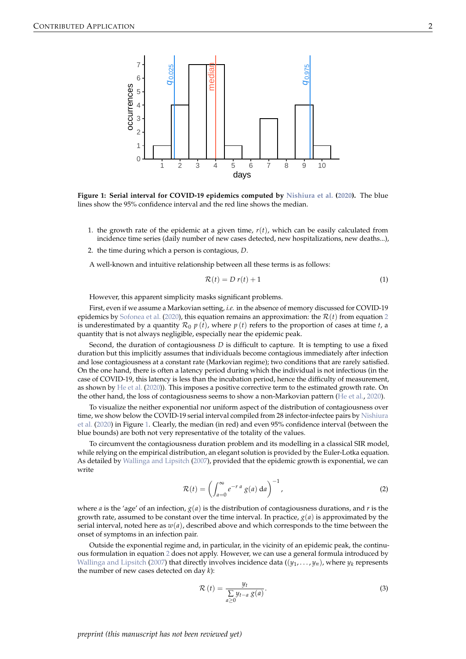

**Figure 1: Serial interval for COVID-19 epidemics computed by Nishiura et al. (2020).** The blue lines show the 95% confidence interval and the red line shows the median.

- 1. the growth rate of the epidemic at a given time,  $r(t)$ , which can be easily calculated from incidence time series (daily number of new cases detected, new hospitalizations, new deaths...),
- 2. the time during which a person is contagious, *D*.

A well-known and intuitive relationship between all these terms is as follows:

$$
\mathcal{R}(t) = D r(t) + 1 \tag{1}
$$

However, this apparent simplicity masks significant problems.

First, even if we assume a Markovian setting, *i.e.* in the absence of memory discussed for COVID-19 epidemics by Sofonea et al. (2020), this equation remains an approximation: the  $\mathcal{R}(t)$  from equation 2 is underestimated by a quantity  $\mathcal{R}_0$   $p(t)$ , where  $p(t)$  refers to the proportion of cases at time *t*, a quantity that is not always negligible, especially near the epidemic peak.

Second, the duration of contagiousness *D* is difficult to capture. It is tempting to use a fixed duration but this implicitly assumes that individuals become contagious immediately after infection and lose contagiousness at a constant rate (Markovian regime); two conditions that are rarely satisfied. On the one hand, there is often a latency period during which the individual is not infectious (in the case of COVID-19, this latency is less than the incubation period, hence the difficulty of measurement, as shown by He et al. (2020)). This imposes a positive corrective term to the estimated growth rate. On the other hand, the loss of contagiousness seems to show a non-Markovian pattern (He et al., 2020).

To visualize the neither exponential nor uniform aspect of the distribution of contagiousness over time, we show below the COVID-19 serial interval compiled from 28 infector-infectee pairs by Nishiura et al. (2020) in Figure 1. Clearly, the median (in red) and even 95% confidence interval (between the blue bounds) are both not very representative of the totality of the values.

To circumvent the contagiousness duration problem and its modelling in a classical SIR model, while relying on the empirical distribution, an elegant solution is provided by the Euler-Lotka equation. As detailed by Wallinga and Lipsitch (2007), provided that the epidemic growth is exponential, we can write

$$
\mathcal{R}(t) = \left(\int_{a=0}^{\infty} e^{-r a} g(a) da\right)^{-1},\tag{2}
$$

where *a* is the 'age' of an infection,  $g(a)$  is the distribution of contagiousness durations, and *r* is the growth rate, assumed to be constant over the time interval. In practice,  $g(a)$  is approximated by the serial interval, noted here as  $w(a)$ , described above and which corresponds to the time between the onset of symptoms in an infection pair.

Outside the exponential regime and, in particular, in the vicinity of an epidemic peak, the continuous formulation in equation 2 does not apply. However, we can use a general formula introduced by Wallinga and Lipsitch (2007) that directly involves incidence data  $((y_1, \ldots, y_n)$ , where  $y_k$  represents the number of new cases detected on day *k*):

$$
\mathcal{R}\left(t\right) = \frac{y_t}{\sum\limits_{a \geq 0} y_{t-a} g(a)}.\tag{3}
$$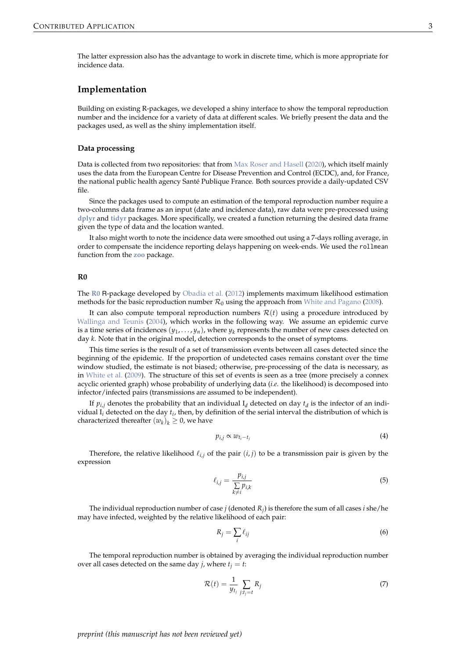The latter expression also has the advantage to work in discrete time, which is more appropriate for incidence data.

## **Implementation**

Building on existing R-packages, we developed a shiny interface to show the temporal reproduction number and the incidence for a variety of data at different scales. We briefly present the data and the packages used, as well as the shiny implementation itself.

#### **Data processing**

Data is collected from two repositories: that from Max Roser and Hasell (2020), which itself mainly uses the data from the European Centre for Disease Prevention and Control (ECDC), and, for France, the national public health agency Santé Publique France. Both sources provide a daily-updated CSV file.

Since the packages used to compute an estimation of the temporal reproduction number require a two-columns data frame as an input (date and incidence data), raw data were pre-processed using **[dplyr](https://CRAN.R-project.org/package=dplyr)** and **[tidyr](https://CRAN.R-project.org/package=tidyr)** packages. More specifically, we created a function returning the desired data frame given the type of data and the location wanted.

It also might worth to note the incidence data were smoothed out using a 7-days rolling average, in order to compensate the incidence reporting delays happening on week-ends. We used the rollmean function from the **[zoo](https://CRAN.R-project.org/package=zoo)** package.

#### **R0**

The **[R0](https://CRAN.R-project.org/package=R0)** R-package developed by Obadia et al. (2012) implements maximum likelihood estimation methods for the basic reproduction number  $\mathcal{R}_0$  using the approach from White and Pagano (2008).

It can also compute temporal reproduction numbers  $\mathcal{R}(t)$  using a procedure introduced by Wallinga and Teunis (2004), which works in the following way. We assume an epidemic curve is a time series of incidences  $(y_1, \ldots, y_n)$ , where  $y_k$  represents the number of new cases detected on day *k*. Note that in the original model, detection corresponds to the onset of symptoms.

This time series is the result of a set of transmission events between all cases detected since the beginning of the epidemic. If the proportion of undetected cases remains constant over the time window studied, the estimate is not biased; otherwise, pre-processing of the data is necessary, as in White et al. (2009). The structure of this set of events is seen as a tree (more precisely a connex acyclic oriented graph) whose probability of underlying data (*i.e.* the likelihood) is decomposed into infector/infected pairs (transmissions are assumed to be independent).

If  $p_{i,j}$  denotes the probability that an individual  $I_d$  detected on day  $t_d$  is the infector of an individual I*<sup>i</sup>* detected on the day *t<sup>i</sup>* , then, by definition of the serial interval the distribution of which is characterized thereafter  $(w_k)_k \geq 0$ , we have

$$
p_{i,j} \propto w_{t_i - t_j} \tag{4}
$$

Therefore, the relative likelihood  $\ell_{i,j}$  of the pair  $(i,j)$  to be a transmission pair is given by the expression

$$
\ell_{i,j} = \frac{p_{i,j}}{\sum\limits_{k \neq i} p_{i,k}}\tag{5}
$$

The individual reproduction number of case  $j$  (denoted  $R_j$ ) is therefore the sum of all cases  $i$  she/he may have infected, weighted by the relative likelihood of each pair:

$$
R_j = \sum_i \ell_{ij} \tag{6}
$$

The temporal reproduction number is obtained by averaging the individual reproduction number over all cases detected on the same day *j*, where  $t<sub>j</sub> = t$ :

$$
\mathcal{R}(t) = \frac{1}{y_{t_j}} \sum_{j:t_j=t} R_j \tag{7}
$$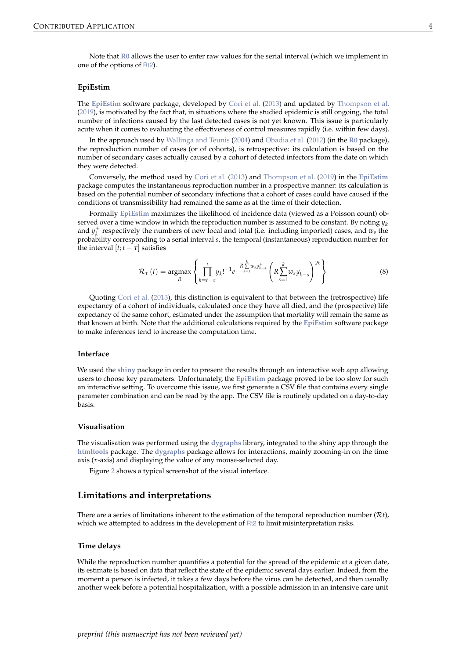Note that **[R0](https://CRAN.R-project.org/package=R0)** allows the user to enter raw values for the serial interval (which we implement in one of the options of [Rt2](https://bioinfo-shiny.ird.fr/Rt2-en/)).

#### **EpiEstim**

The **[EpiEstim](https://CRAN.R-project.org/package=EpiEstim)** software package, developed by Cori et al. (2013) and updated by Thompson et al. (2019), is motivated by the fact that, in situations where the studied epidemic is still ongoing, the total number of infections caused by the last detected cases is not yet known. This issue is particularly acute when it comes to evaluating the effectiveness of control measures rapidly (i.e. within few days).

In the approach used by Wallinga and Teunis (2004) and Obadia et al. (2012) (in the **[R0](https://CRAN.R-project.org/package=R0)** package), the reproduction number of cases (or of cohorts), is retrospective: its calculation is based on the number of secondary cases actually caused by a cohort of detected infectors from the date on which they were detected.

Conversely, the method used by Cori et al. (2013) and Thompson et al. (2019) in the **[EpiEstim](https://CRAN.R-project.org/package=EpiEstim)** package computes the instantaneous reproduction number in a prospective manner: its calculation is based on the potential number of secondary infections that a cohort of cases could have caused if the conditions of transmissibility had remained the same as at the time of their detection.

Formally **[EpiEstim](https://CRAN.R-project.org/package=EpiEstim)** maximizes the likelihood of incidence data (viewed as a Poisson count) observed over a time window in which the reproduction number is assumed to be constant. By noting  $y_k$ and  $y_k^+$  respectively the numbers of new local and total (i.e. including imported) cases, and  $w_s$  the probability corresponding to a serial interval *s*, the temporal (instantaneous) reproduction number for the interval  $[t; t - \tau]$  satisfies

$$
\mathcal{R}_{\tau}(t) = \underset{R}{\text{argmax}} \left\{ \prod_{k=t-\tau}^{t} y_k!^{-1} e^{-R \sum_{s=1}^{k} w_s y_{k-s}^+} \left( R \sum_{s=1}^{k} w_s y_{k-s}^+ \right)^{y_k} \right\} \tag{8}
$$

Quoting Cori et al. (2013), this distinction is equivalent to that between the (retrospective) life expectancy of a cohort of individuals, calculated once they have all died, and the (prospective) life expectancy of the same cohort, estimated under the assumption that mortality will remain the same as that known at birth. Note that the additional calculations required by the **[EpiEstim](https://CRAN.R-project.org/package=EpiEstim)** software package to make inferences tend to increase the computation time.

#### **Interface**

We used the **[shiny](https://CRAN.R-project.org/package=shiny)** package in order to present the results through an interactive web app allowing users to choose key parameters. Unfortunately, the **[EpiEstim](https://CRAN.R-project.org/package=EpiEstim)** package proved to be too slow for such an interactive setting. To overcome this issue, we first generate a CSV file that contains every single parameter combination and can be read by the app. The CSV file is routinely updated on a day-to-day basis.

#### **Visualisation**

The visualisation was performed using the **[dygraphs](https://CRAN.R-project.org/package=dygraphs)** library, integrated to the shiny app through the **[htmltools](https://CRAN.R-project.org/package=htmltools)** package. The **[dygraphs](https://CRAN.R-project.org/package=dygraphs)** package allows for interactions, mainly zooming-in on the time axis (*x*-axis) and displaying the value of any mouse-selected day.

Figure 2 shows a typical screenshot of the visual interface.

## **Limitations and interpretations**

There are a series of limitations inherent to the estimation of the temporal reproduction number (R*t*), which we attempted to address in the development of [Rt2](https://bioinfo-shiny.ird.fr/Rt2-en/) to limit misinterpretation risks.

#### **Time delays**

While the reproduction number quantifies a potential for the spread of the epidemic at a given date, its estimate is based on data that reflect the state of the epidemic several days earlier. Indeed, from the moment a person is infected, it takes a few days before the virus can be detected, and then usually another week before a potential hospitalization, with a possible admission in an intensive care unit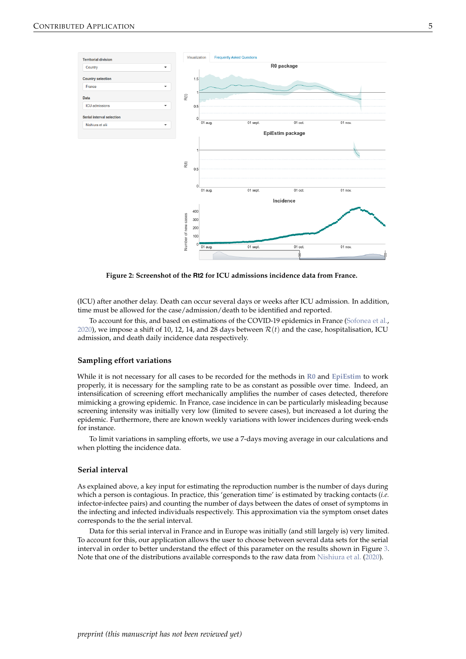

**Figure 2: Screenshot of the Rt2 for ICU admissions incidence data from France.**

(ICU) after another delay. Death can occur several days or weeks after ICU admission. In addition, time must be allowed for the case/admission/death to be identified and reported.

To account for this, and based on estimations of the COVID-19 epidemics in France (Sofonea et al., 2020), we impose a shift of 10, 12, 14, and 28 days between  $\mathcal{R}(t)$  and the case, hospitalisation, ICU admission, and death daily incidence data respectively.

#### **Sampling effort variations**

While it is not necessary for all cases to be recorded for the methods in **[R0](https://CRAN.R-project.org/package=R0)** and **[EpiEstim](https://CRAN.R-project.org/package=EpiEstim)** to work properly, it is necessary for the sampling rate to be as constant as possible over time. Indeed, an intensification of screening effort mechanically amplifies the number of cases detected, therefore mimicking a growing epidemic. In France, case incidence in can be particularly misleading because screening intensity was initially very low (limited to severe cases), but increased a lot during the epidemic. Furthermore, there are known weekly variations with lower incidences during week-ends for instance.

To limit variations in sampling efforts, we use a 7-days moving average in our calculations and when plotting the incidence data.

#### **Serial interval**

As explained above, a key input for estimating the reproduction number is the number of days during which a person is contagious. In practice, this 'generation time' is estimated by tracking contacts (*i.e.* infector-infectee pairs) and counting the number of days between the dates of onset of symptoms in the infecting and infected individuals respectively. This approximation via the symptom onset dates corresponds to the the serial interval.

Data for this serial interval in France and in Europe was initially (and still largely is) very limited. To account for this, our application allows the user to choose between several data sets for the serial interval in order to better understand the effect of this parameter on the results shown in Figure 3. Note that one of the distributions available corresponds to the raw data from Nishiura et al. (2020).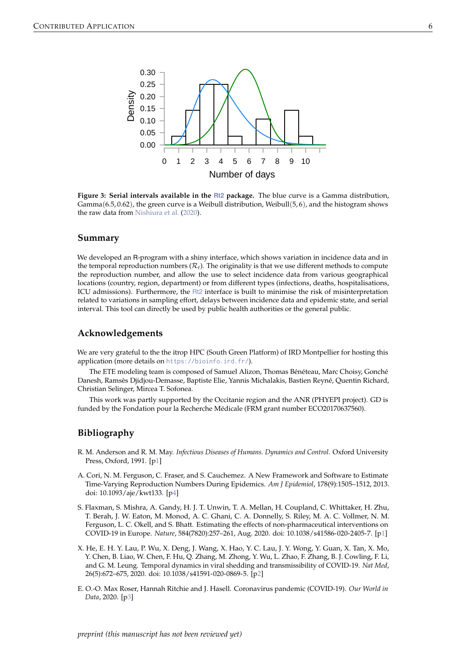

**Figure 3: Serial intervals available in the [Rt2](https://bioinfo-shiny.ird.fr/Rt2-en/) package.** The blue curve is a Gamma distribution, Gamma( $6.5, 0.62$ ), the green curve is a Weibull distribution, Weibull( $5.6$ ), and the histogram shows the raw data from Nishiura et al. (2020).

## **Summary**

We developed an R-program with a shiny interface, which shows variation in incidence data and in the temporal reproduction numbers  $(R_t)$ . The originality is that we use different methods to compute the reproduction number, and allow the use to select incidence data from various geographical locations (country, region, department) or from different types (infections, deaths, hospitalisations, ICU admissions). Furthermore, the [Rt2](https://bioinfo-shiny.ird.fr/Rt2-en/) interface is built to minimise the risk of misinterpretation related to variations in sampling effort, delays between incidence data and epidemic state, and serial interval. This tool can directly be used by public health authorities or the general public.

#### **Acknowledgements**

We are very grateful to the the itrop HPC (South Green Platform) of IRD Montpellier for hosting this application (more details on <https://bioinfo.ird.fr/>).

The ETE modeling team is composed of Samuel Alizon, Thomas Bénéteau, Marc Choisy, Gonché Danesh, Ramsès Djidjou-Demasse, Baptiste Elie, Yannis Michalakis, Bastien Reyné, Quentin Richard, Christian Selinger, Mircea T. Sofonea.

This work was partly supported by the Occitanie region and the ANR (PHYEPI project). GD is funded by the Fondation pour la Recherche Médicale (FRM grant number ECO20170637560).

# **Bibliography**

- R. M. Anderson and R. M. May. *Infectious Diseases of Humans. Dynamics and Control*. Oxford University Press, Oxford, 1991. [[p1\]](#page-0-0)
- A. Cori, N. M. Ferguson, C. Fraser, and S. Cauchemez. A New Framework and Software to Estimate Time-Varying Reproduction Numbers During Epidemics. *Am J Epidemiol*, 178(9):1505–1512, 2013. doi: 10.1093/aje/kwt133. [p4]
- S. Flaxman, S. Mishra, A. Gandy, H. J. T. Unwin, T. A. Mellan, H. Coupland, C. Whittaker, H. Zhu, T. Berah, J. W. Eaton, M. Monod, A. C. Ghani, C. A. Donnelly, S. Riley, M. A. C. Vollmer, N. M. Ferguson, L. C. Okell, and S. Bhatt. Estimating the effects of non-pharmaceutical interventions on COVID-19 in Europe. *Nature*, 584(7820):257–261, Aug. 2020. doi: 10.1038/s41586-020-2405-7. [[p1\]](#page-0-0)
- X. He, E. H. Y. Lau, P. Wu, X. Deng, J. Wang, X. Hao, Y. C. Lau, J. Y. Wong, Y. Guan, X. Tan, X. Mo, Y. Chen, B. Liao, W. Chen, F. Hu, Q. Zhang, M. Zhong, Y. Wu, L. Zhao, F. Zhang, B. J. Cowling, F. Li, and G. M. Leung. Temporal dynamics in viral shedding and transmissibility of COVID-19. *Nat Med*, 26(5):672–675, 2020. doi: 10.1038/s41591-020-0869-5. [p2]
- E. O.-O. Max Roser, Hannah Ritchie and J. Hasell. Coronavirus pandemic (COVID-19). *Our World in Data*, 2020. [p3]